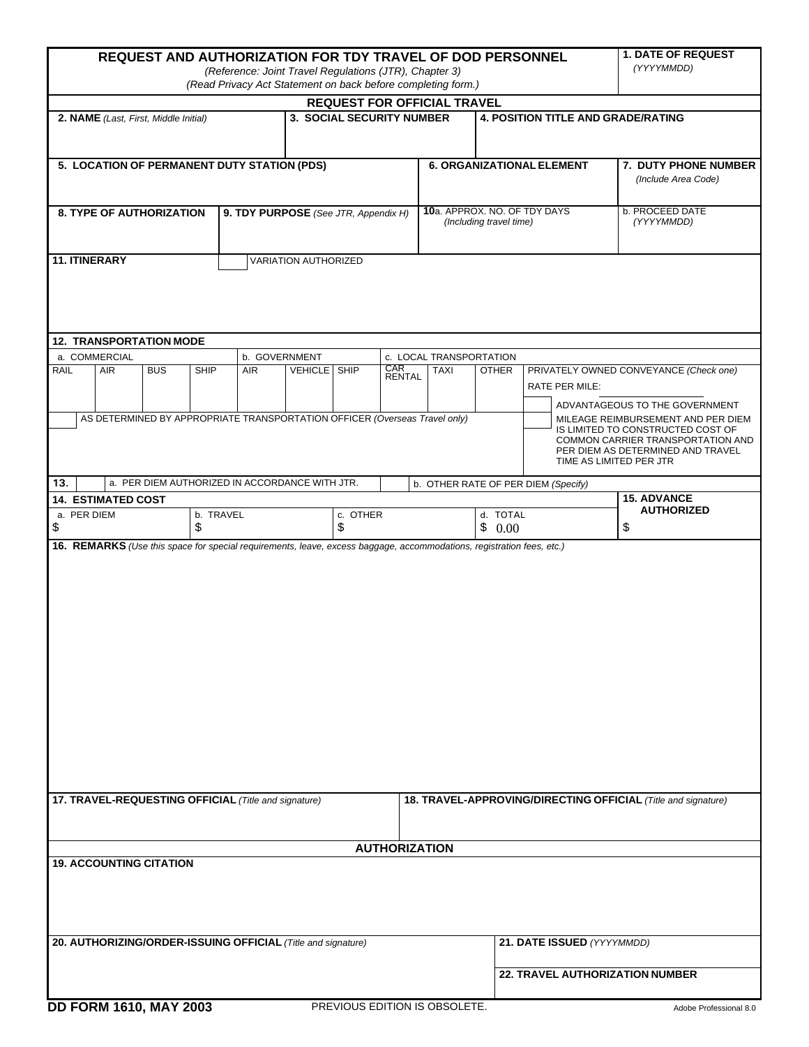| <b>REQUEST AND AUTHORIZATION FOR TDY TRAVEL OF DOD PERSONNEL</b><br>(Reference: Joint Travel Regulations (JTR), Chapter 3)<br>(Read Privacy Act Statement on back before completing form.) |             |            |             |                                                |                     |  |                                  |                                                               |                                           |                                 |                                                                                                                                                                              | <b>1. DATE OF REQUEST</b><br>(YYYYMMDD)     |  |
|--------------------------------------------------------------------------------------------------------------------------------------------------------------------------------------------|-------------|------------|-------------|------------------------------------------------|---------------------|--|----------------------------------|---------------------------------------------------------------|-------------------------------------------|---------------------------------|------------------------------------------------------------------------------------------------------------------------------------------------------------------------------|---------------------------------------------|--|
| <b>REQUEST FOR OFFICIAL TRAVEL</b>                                                                                                                                                         |             |            |             |                                                |                     |  |                                  |                                                               |                                           |                                 |                                                                                                                                                                              |                                             |  |
| 3. SOCIAL SECURITY NUMBER<br>2. NAME (Last, First, Middle Initial)                                                                                                                         |             |            |             |                                                |                     |  |                                  |                                                               | <b>4. POSITION TITLE AND GRADE/RATING</b> |                                 |                                                                                                                                                                              |                                             |  |
| 5. LOCATION OF PERMANENT DUTY STATION (PDS)                                                                                                                                                |             |            |             |                                                |                     |  |                                  |                                                               | <b>6. ORGANIZATIONAL ELEMENT</b>          |                                 |                                                                                                                                                                              | 7. DUTY PHONE NUMBER<br>(Include Area Code) |  |
| <b>8. TYPE OF AUTHORIZATION</b>                                                                                                                                                            |             |            |             | 9. TDY PURPOSE (See JTR, Appendix H)           |                     |  |                                  | 10a. APPROX. NO. OF TDY DAYS<br>(Including travel time)       |                                           |                                 |                                                                                                                                                                              | b. PROCEED DATE<br>(YYYYMMDD)               |  |
| 11. ITINERARY<br>VARIATION AUTHORIZED                                                                                                                                                      |             |            |             |                                                |                     |  |                                  |                                                               |                                           |                                 |                                                                                                                                                                              |                                             |  |
| <b>12. TRANSPORTATION MODE</b><br>a. COMMERCIAL<br>b. GOVERNMENT<br>c. LOCAL TRANSPORTATION                                                                                                |             |            |             |                                                |                     |  |                                  |                                                               |                                           |                                 |                                                                                                                                                                              |                                             |  |
| <b>RAIL</b>                                                                                                                                                                                | <b>AIR</b>  | <b>BUS</b> | <b>SHIP</b> | <b>AIR</b>                                     | <b>VEHICLE</b> SHIP |  | CAR<br>RENTAL                    | <b>TAXI</b>                                                   | <b>OTHER</b>                              |                                 | PRIVATELY OWNED CONVEYANCE (Check one)<br>RATE PER MILE:<br>ADVANTAGEOUS TO THE GOVERNMENT                                                                                   |                                             |  |
| AS DETERMINED BY APPROPRIATE TRANSPORTATION OFFICER (Overseas Travel only)                                                                                                                 |             |            |             |                                                |                     |  |                                  |                                                               |                                           |                                 | MILEAGE REIMBURSEMENT AND PER DIEM<br>IS LIMITED TO CONSTRUCTED COST OF<br>COMMON CARRIER TRANSPORTATION AND<br>PER DIEM AS DETERMINED AND TRAVEL<br>TIME AS LIMITED PER JTR |                                             |  |
| 13.                                                                                                                                                                                        |             |            |             | a. PER DIEM AUTHORIZED IN ACCORDANCE WITH JTR. |                     |  |                                  | b. OTHER RATE OF PER DIEM (Specify)                           |                                           |                                 |                                                                                                                                                                              |                                             |  |
| <b>14. ESTIMATED COST</b>                                                                                                                                                                  |             |            |             |                                                |                     |  |                                  |                                                               |                                           |                                 | <b>15. ADVANCE</b><br><b>AUTHORIZED</b>                                                                                                                                      |                                             |  |
| \$                                                                                                                                                                                         | a. PER DIEM |            |             | b. TRAVEL<br>\$                                |                     |  | c. OTHER<br>d. TOTAL<br>\$<br>\$ |                                                               |                                           | 0.00                            |                                                                                                                                                                              | \$                                          |  |
|                                                                                                                                                                                            |             |            |             |                                                |                     |  |                                  |                                                               |                                           |                                 |                                                                                                                                                                              |                                             |  |
| 17. TRAVEL-REQUESTING OFFICIAL (Title and signature)                                                                                                                                       |             |            |             |                                                |                     |  |                                  | 18. TRAVEL-APPROVING/DIRECTING OFFICIAL (Title and signature) |                                           |                                 |                                                                                                                                                                              |                                             |  |
| <b>AUTHORIZATION</b><br><b>19. ACCOUNTING CITATION</b>                                                                                                                                     |             |            |             |                                                |                     |  |                                  |                                                               |                                           |                                 |                                                                                                                                                                              |                                             |  |
|                                                                                                                                                                                            |             |            |             |                                                |                     |  |                                  |                                                               |                                           |                                 |                                                                                                                                                                              |                                             |  |
| 20. AUTHORIZING/ORDER-ISSUING OFFICIAL (Title and signature)                                                                                                                               |             |            |             |                                                |                     |  |                                  |                                                               |                                           |                                 | 21. DATE ISSUED (YYYYMMDD)                                                                                                                                                   |                                             |  |
|                                                                                                                                                                                            |             |            |             |                                                |                     |  |                                  |                                                               |                                           | 22. TRAVEL AUTHORIZATION NUMBER |                                                                                                                                                                              |                                             |  |